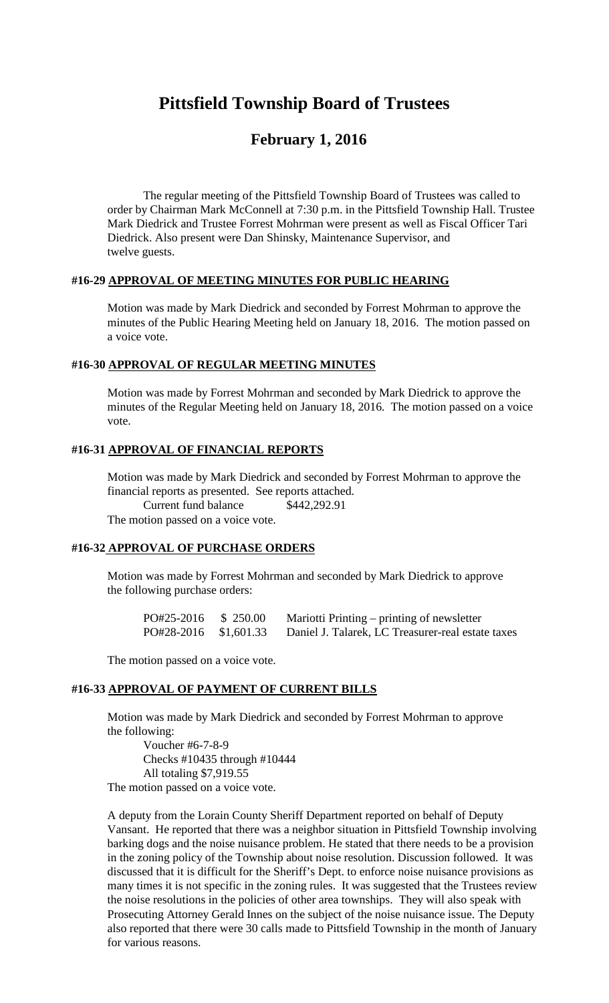# **Pittsfield Township Board of Trustees**

# **February 1, 2016**

The regular meeting of the Pittsfield Township Board of Trustees was called to order by Chairman Mark McConnell at 7:30 p.m. in the Pittsfield Township Hall. Trustee Mark Diedrick and Trustee Forrest Mohrman were present as well as Fiscal Officer Tari Diedrick. Also present were Dan Shinsky, Maintenance Supervisor, and twelve guests.

#### **#16-29 APPROVAL OF MEETING MINUTES FOR PUBLIC HEARING**

Motion was made by Mark Diedrick and seconded by Forrest Mohrman to approve the minutes of the Public Hearing Meeting held on January 18, 2016. The motion passed on a voice vote.

#### **#16-30 APPROVAL OF REGULAR MEETING MINUTES**

Motion was made by Forrest Mohrman and seconded by Mark Diedrick to approve the minutes of the Regular Meeting held on January 18, 2016. The motion passed on a voice vote.

#### **#16-31 APPROVAL OF FINANCIAL REPORTS**

Motion was made by Mark Diedrick and seconded by Forrest Mohrman to approve the financial reports as presented. See reports attached. Current fund balance \$442,292.91 The motion passed on a voice vote.

#### **#16-32 APPROVAL OF PURCHASE ORDERS**

Motion was made by Forrest Mohrman and seconded by Mark Diedrick to approve the following purchase orders:

| PO#25-2016            | \$ 250.00 | Mariotti Printing – printing of newsletter        |
|-----------------------|-----------|---------------------------------------------------|
| PO#28-2016 \$1,601.33 |           | Daniel J. Talarek, LC Treasurer-real estate taxes |

The motion passed on a voice vote.

#### **#16-33 APPROVAL OF PAYMENT OF CURRENT BILLS**

Motion was made by Mark Diedrick and seconded by Forrest Mohrman to approve the following:

Voucher #6-7-8-9 Checks #10435 through #10444 All totaling \$7,919.55 The motion passed on a voice vote.

A deputy from the Lorain County Sheriff Department reported on behalf of Deputy Vansant. He reported that there was a neighbor situation in Pittsfield Township involving barking dogs and the noise nuisance problem. He stated that there needs to be a provision in the zoning policy of the Township about noise resolution. Discussion followed. It was discussed that it is difficult for the Sheriff's Dept. to enforce noise nuisance provisions as many times it is not specific in the zoning rules. It was suggested that the Trustees review the noise resolutions in the policies of other area townships. They will also speak with Prosecuting Attorney Gerald Innes on the subject of the noise nuisance issue. The Deputy also reported that there were 30 calls made to Pittsfield Township in the month of January for various reasons.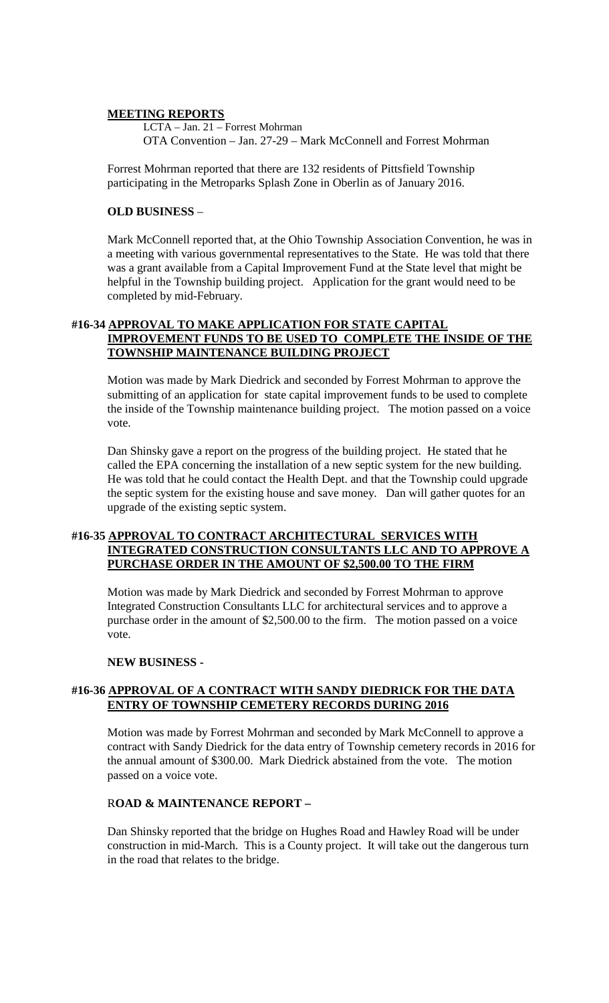#### **MEETING REPORTS**

LCTA – Jan. 21 – Forrest Mohrman OTA Convention – Jan. 27-29 – Mark McConnell and Forrest Mohrman

Forrest Mohrman reported that there are 132 residents of Pittsfield Township participating in the Metroparks Splash Zone in Oberlin as of January 2016.

#### **OLD BUSINESS** –

Mark McConnell reported that, at the Ohio Township Association Convention, he was in a meeting with various governmental representatives to the State. He was told that there was a grant available from a Capital Improvement Fund at the State level that might be helpful in the Township building project. Application for the grant would need to be completed by mid-February.

# **#16-34 APPROVAL TO MAKE APPLICATION FOR STATE CAPITAL IMPROVEMENT FUNDS TO BE USED TO COMPLETE THE INSIDE OF THE TOWNSHIP MAINTENANCE BUILDING PROJECT**

Motion was made by Mark Diedrick and seconded by Forrest Mohrman to approve the submitting of an application for state capital improvement funds to be used to complete the inside of the Township maintenance building project. The motion passed on a voice vote.

Dan Shinsky gave a report on the progress of the building project. He stated that he called the EPA concerning the installation of a new septic system for the new building. He was told that he could contact the Health Dept. and that the Township could upgrade the septic system for the existing house and save money. Dan will gather quotes for an upgrade of the existing septic system.

# **#16-35 APPROVAL TO CONTRACT ARCHITECTURAL SERVICES WITH INTEGRATED CONSTRUCTION CONSULTANTS LLC AND TO APPROVE A PURCHASE ORDER IN THE AMOUNT OF \$2,500.00 TO THE FIRM**

Motion was made by Mark Diedrick and seconded by Forrest Mohrman to approve Integrated Construction Consultants LLC for architectural services and to approve a purchase order in the amount of \$2,500.00 to the firm. The motion passed on a voice vote.

#### **NEW BUSINESS -**

# **#16-36 APPROVAL OF A CONTRACT WITH SANDY DIEDRICK FOR THE DATA ENTRY OF TOWNSHIP CEMETERY RECORDS DURING 2016**

Motion was made by Forrest Mohrman and seconded by Mark McConnell to approve a contract with Sandy Diedrick for the data entry of Township cemetery records in 2016 for the annual amount of \$300.00. Mark Diedrick abstained from the vote. The motion passed on a voice vote.

#### R**OAD & MAINTENANCE REPORT –**

Dan Shinsky reported that the bridge on Hughes Road and Hawley Road will be under construction in mid-March. This is a County project. It will take out the dangerous turn in the road that relates to the bridge.